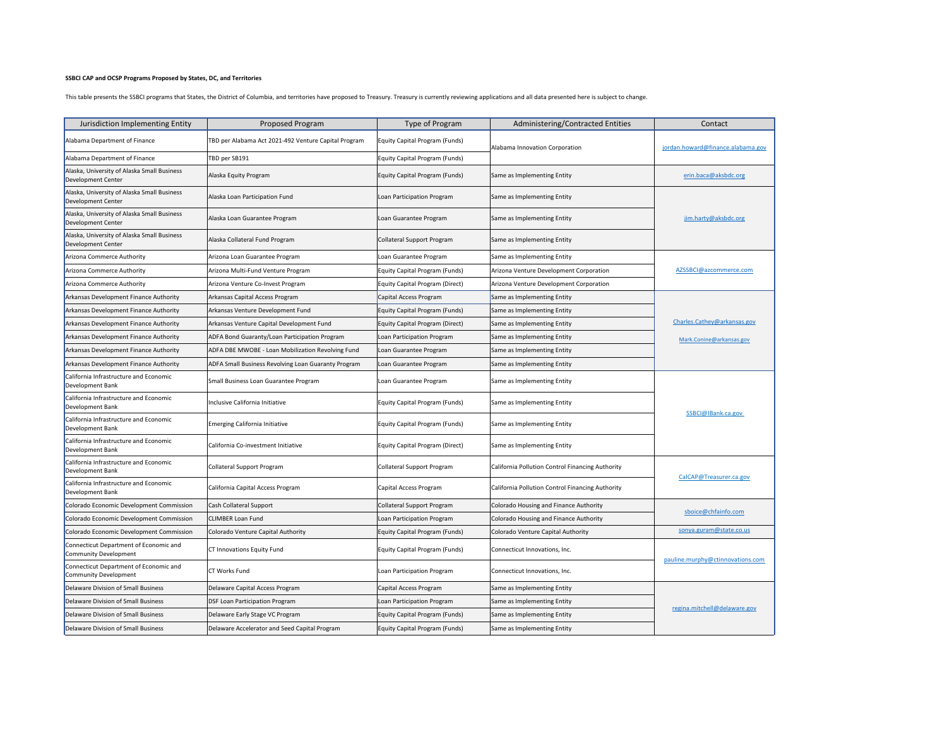## **SSBCI CAP and OCSP Programs Proposed by States, DC, and Territories**

This table presents the SSBCI programs that States, the District of Columbia, and territories have proposed to Treasury. Treasury is currently reviewing applications and all data presented here is subject to change.

| Jurisdiction Implementing Entity                                       | Proposed Program                                     | Type of Program                       | Administering/Contracted Entities                | Contact                           |
|------------------------------------------------------------------------|------------------------------------------------------|---------------------------------------|--------------------------------------------------|-----------------------------------|
| Alabama Department of Finance                                          | TBD per Alabama Act 2021-492 Venture Capital Program | Equity Capital Program (Funds)        | Alabama Innovation Corporation                   | jordan.howard@finance.alabama.gov |
| Alabama Department of Finance                                          | TBD per SB191                                        | <b>Equity Capital Program (Funds)</b> |                                                  |                                   |
| Alaska, University of Alaska Small Business<br>Development Center      | Alaska Equity Program                                | Equity Capital Program (Funds)        | Same as Implementing Entity                      | erin.baca@aksbdc.org              |
| Alaska, University of Alaska Small Business<br>Development Center      | Alaska Loan Participation Fund                       | Loan Participation Program            | Same as Implementing Entity                      |                                   |
| Alaska, University of Alaska Small Business<br>Development Center      | Alaska Loan Guarantee Program                        | Loan Guarantee Program                | Same as Implementing Entity                      | jim.harty@aksbdc.org              |
| Alaska, University of Alaska Small Business<br>Development Center      | Alaska Collateral Fund Program                       | <b>Collateral Support Program</b>     | Same as Implementing Entity                      |                                   |
| Arizona Commerce Authority                                             | Arizona Loan Guarantee Program                       | Loan Guarantee Program                | Same as Implementing Entity                      |                                   |
| Arizona Commerce Authority                                             | Arizona Multi-Fund Venture Program                   | Equity Capital Program (Funds)        | Arizona Venture Development Corporation          | AZSSBCI@azcommerce.com            |
| <b>Arizona Commerce Authority</b>                                      | Arizona Venture Co-Invest Program                    | Equity Capital Program (Direct)       | Arizona Venture Development Corporation          |                                   |
| Arkansas Development Finance Authority                                 | Arkansas Capital Access Program                      | Capital Access Program                | Same as Implementing Entity                      |                                   |
| Arkansas Development Finance Authority                                 | Arkansas Venture Development Fund                    | Equity Capital Program (Funds)        | Same as Implementing Entity                      |                                   |
| Arkansas Development Finance Authority                                 | Arkansas Venture Capital Development Fund            | Equity Capital Program (Direct)       | Same as Implementing Entity                      | Charles.Cathey@arkansas.gov       |
| Arkansas Development Finance Authority                                 | ADFA Bond Guaranty/Loan Participation Program        | Loan Participation Program            | Same as Implementing Entity                      | Mark.Conine@arkansas.gov          |
| Arkansas Development Finance Authority                                 | ADFA DBE MWOBE - Loan Mobilization Revolving Fund    | Loan Guarantee Program                | Same as Implementing Entity                      |                                   |
| Arkansas Development Finance Authority                                 | ADFA Small Business Revolving Loan Guaranty Program  | Loan Guarantee Program                | Same as Implementing Entity                      |                                   |
| California Infrastructure and Economic<br>Development Bank             | Small Business Loan Guarantee Program                | Loan Guarantee Program                | Same as Implementing Entity                      |                                   |
| California Infrastructure and Economic<br>Development Bank             | Inclusive California Initiative                      | <b>Equity Capital Program (Funds)</b> | Same as Implementing Entity                      |                                   |
| California Infrastructure and Economic<br>Development Bank             | Emerging California Initiative                       | <b>Equity Capital Program (Funds)</b> | Same as Implementing Entity                      | SSBCI@IBank.ca.gov                |
| California Infrastructure and Economic<br>Development Bank             | California Co-investment Initiative                  | Equity Capital Program (Direct)       | Same as Implementing Entity                      |                                   |
| California Infrastructure and Economic<br>Development Bank             | Collateral Support Program                           | <b>Collateral Support Program</b>     | California Pollution Control Financing Authority |                                   |
| California Infrastructure and Economic<br>Development Bank             | California Capital Access Program                    | Capital Access Program                | California Pollution Control Financing Authority | CalCAP@Treasurer.ca.gov           |
| Colorado Economic Development Commission                               | Cash Collateral Support                              | <b>Collateral Support Program</b>     | Colorado Housing and Finance Authority           |                                   |
| Colorado Economic Development Commission                               | <b>CLIMBER Loan Fund</b>                             | Loan Participation Program            | Colorado Housing and Finance Authority           | sboice@chfainfo.com               |
| Colorado Economic Development Commission                               | Colorado Venture Capital Authority                   | <b>Equity Capital Program (Funds)</b> | Colorado Venture Capital Authority               | sonya.guram@state.co.us           |
| Connecticut Department of Economic and<br><b>Community Development</b> | CT Innovations Equity Fund                           | Equity Capital Program (Funds)        | Connecticut Innovations, Inc.                    |                                   |
| Connecticut Department of Economic and<br><b>Community Development</b> | <b>CT Works Fund</b>                                 | Loan Participation Program            | Connecticut Innovations, Inc.                    | pauline.murphy@ctinnovations.com  |
| Delaware Division of Small Business                                    | Delaware Capital Access Program                      | Capital Access Program                | Same as Implementing Entity                      |                                   |
| Delaware Division of Small Business                                    | <b>DSF Loan Participation Program</b>                | Loan Participation Program            | Same as Implementing Entity                      |                                   |
| Delaware Division of Small Business                                    | Delaware Early Stage VC Program                      | Equity Capital Program (Funds)        | Same as Implementing Entity                      | regina.mitchell@delaware.gov      |
| Delaware Division of Small Business                                    | Delaware Accelerator and Seed Capital Program        | Equity Capital Program (Funds)        | Same as Implementing Entity                      |                                   |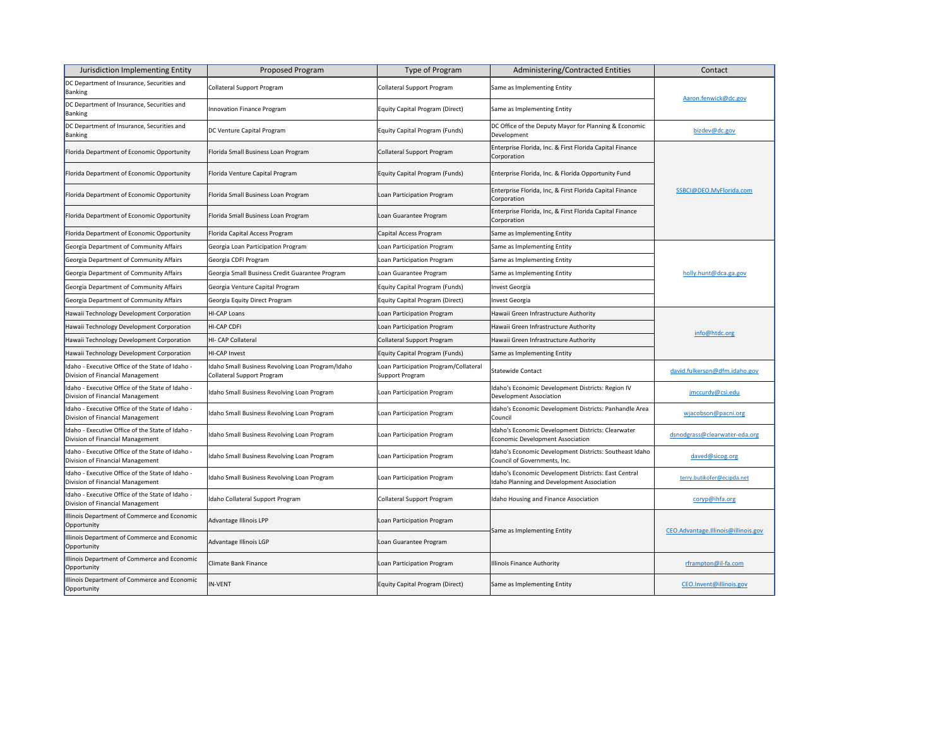| Jurisdiction Implementing Entity                                                     | <b>Proposed Program</b>                                                                | Type of Program                                          | <b>Administering/Contracted Entities</b>                                                           | Contact                             |
|--------------------------------------------------------------------------------------|----------------------------------------------------------------------------------------|----------------------------------------------------------|----------------------------------------------------------------------------------------------------|-------------------------------------|
| DC Department of Insurance, Securities and<br>Banking                                | <b>Collateral Support Program</b>                                                      | Collateral Support Program                               | Same as Implementing Entity                                                                        | Aaron.fenwick@dc.gov                |
| DC Department of Insurance, Securities and<br>Banking                                | Innovation Finance Program                                                             | Equity Capital Program (Direct)                          | Same as Implementing Entity                                                                        |                                     |
| DC Department of Insurance, Securities and<br>Banking                                | DC Venture Capital Program                                                             | Equity Capital Program (Funds)                           | DC Office of the Deputy Mayor for Planning & Economic<br>Development                               | bizdev@dc.gov                       |
| Florida Department of Economic Opportunity                                           | Florida Small Business Loan Program                                                    | Collateral Support Program                               | Enterprise Florida, Inc. & First Florida Capital Finance<br>Corporation                            |                                     |
| Florida Department of Economic Opportunity                                           | Florida Venture Capital Program                                                        | Equity Capital Program (Funds)                           | Enterprise Florida, Inc. & Florida Opportunity Fund                                                |                                     |
| Florida Department of Economic Opportunity                                           | Florida Small Business Loan Program                                                    | Loan Participation Program                               | Enterprise Florida, Inc, & First Florida Capital Finance<br>Corporation                            | SSBCI@DEO.MyFlorida.com             |
| Florida Department of Economic Opportunity                                           | Florida Small Business Loan Program                                                    | Loan Guarantee Program                                   | Enterprise Florida, Inc, & First Florida Capital Finance<br>Corporation                            |                                     |
| Florida Department of Economic Opportunity                                           | Florida Capital Access Program                                                         | Capital Access Program                                   | Same as Implementing Entity                                                                        |                                     |
| Georgia Department of Community Affairs                                              | Georgia Loan Participation Program                                                     | Loan Participation Program                               | Same as Implementing Entity                                                                        |                                     |
| Georgia Department of Community Affairs                                              | Georgia CDFI Program                                                                   | Loan Participation Program                               | Same as Implementing Entity                                                                        |                                     |
| Georgia Department of Community Affairs                                              | Georgia Small Business Credit Guarantee Program                                        | Loan Guarantee Program                                   | Same as Implementing Entity                                                                        | holly.hunt@dca.ga.gov               |
| Georgia Department of Community Affairs                                              | Georgia Venture Capital Program                                                        | <b>Equity Capital Program (Funds)</b>                    | Invest Georgia                                                                                     |                                     |
| Georgia Department of Community Affairs                                              | Georgia Equity Direct Program                                                          | Equity Capital Program (Direct)                          | Invest Georgia                                                                                     |                                     |
| Hawaii Technology Development Corporation                                            | <b>HI-CAP Loans</b>                                                                    | Loan Participation Program                               | Hawaii Green Infrastructure Authority                                                              |                                     |
| Hawaii Technology Development Corporation                                            | <b>HI-CAP CDFI</b>                                                                     | Loan Participation Program                               | Hawaii Green Infrastructure Authority                                                              | info@htdc.org                       |
| Hawaii Technology Development Corporation                                            | HI- CAP Collateral                                                                     | Collateral Support Program                               | Hawaii Green Infrastructure Authority                                                              |                                     |
| Hawaii Technology Development Corporation                                            | HI-CAP Invest                                                                          | Equity Capital Program (Funds)                           | Same as Implementing Entity                                                                        |                                     |
| Idaho - Executive Office of the State of Idaho -<br>Division of Financial Management | Idaho Small Business Revolving Loan Program/Idaho<br><b>Collateral Support Program</b> | Loan Participation Program/Collateral<br>Support Program | Statewide Contact                                                                                  | david.fulkerson@dfm.idaho.gov       |
| Idaho - Executive Office of the State of Idaho -<br>Division of Financial Management | Idaho Small Business Revolving Loan Program                                            | Loan Participation Program                               | Idaho's Economic Development Districts: Region IV<br>Development Association                       | jmccurdy@csi.edu                    |
| Idaho - Executive Office of the State of Idaho -<br>Division of Financial Management | Idaho Small Business Revolving Loan Program                                            | Loan Participation Program                               | Idaho's Economic Development Districts: Panhandle Area<br>Council                                  | wjacobson@pacni.org                 |
| Idaho - Executive Office of the State of Idaho -<br>Division of Financial Management | Idaho Small Business Revolving Loan Program                                            | Loan Participation Program                               | Idaho's Economic Development Districts: Clearwater<br><b>Economic Development Association</b>      | dsnodgrass@clearwater-eda.org       |
| Idaho - Executive Office of the State of Idaho -<br>Division of Financial Management | Idaho Small Business Revolving Loan Program                                            | Loan Participation Program                               | Idaho's Economic Development Districts: Southeast Idaho<br>Council of Governments, Inc.            | daved@sicog.org                     |
| Idaho - Executive Office of the State of Idaho -<br>Division of Financial Management | Idaho Small Business Revolving Loan Program                                            | Loan Participation Program                               | Idaho's Economic Development Districts: East Central<br>Idaho Planning and Development Association | terry.butikofer@ecipda.net          |
| Idaho - Executive Office of the State of Idaho -<br>Division of Financial Management | Idaho Collateral Support Program                                                       | Collateral Support Program                               | <b>Idaho Housing and Finance Association</b>                                                       | coryp@ihfa.org                      |
| Illinois Department of Commerce and Economic<br>Opportunity                          | Advantage Illinois LPP                                                                 | Loan Participation Program                               | Same as Implementing Entity                                                                        | CEO.Advantage.Illinois@illinois.gov |
| Illinois Department of Commerce and Economic<br>Opportunity                          | Advantage Illinois LGP                                                                 | Loan Guarantee Program                                   |                                                                                                    |                                     |
| Illinois Department of Commerce and Economic<br>Opportunity                          | <b>Climate Bank Finance</b>                                                            | Loan Participation Program                               | <b>Illinois Finance Authority</b>                                                                  | rframpton@il-fa.com                 |
| Illinois Department of Commerce and Economic<br>Opportunity                          | <b>IN-VENT</b>                                                                         | Equity Capital Program (Direct)                          | Same as Implementing Entity                                                                        | CEO.Invent@illinois.gov             |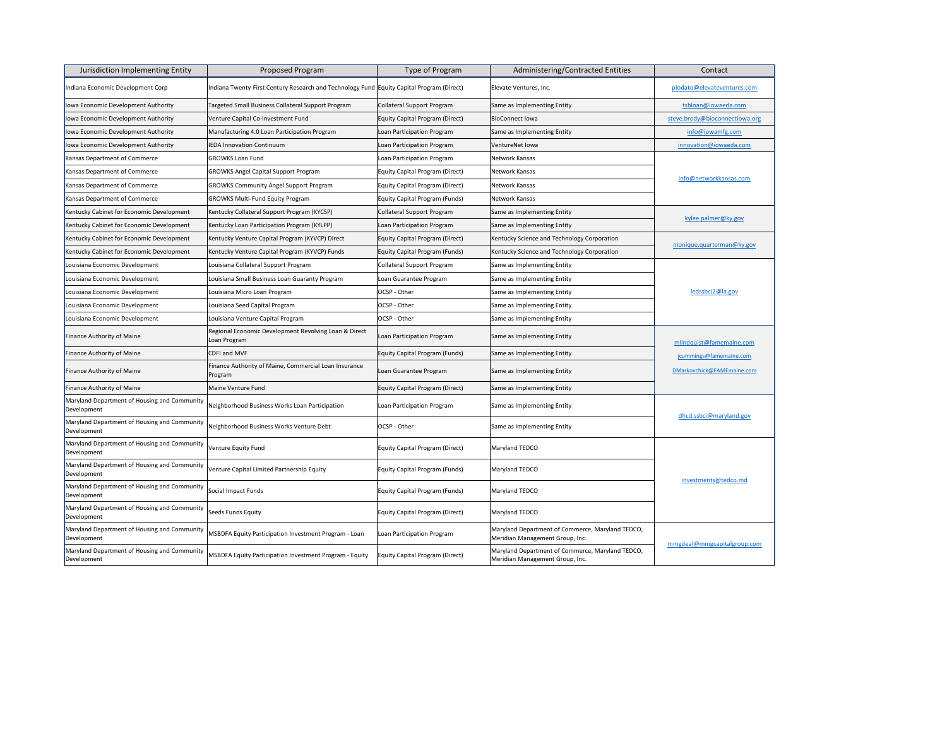| Jurisdiction Implementing Entity                            | <b>Proposed Program</b>                                                                   | Type of Program                       | <b>Administering/Contracted Entities</b>                                            | Contact                        |
|-------------------------------------------------------------|-------------------------------------------------------------------------------------------|---------------------------------------|-------------------------------------------------------------------------------------|--------------------------------|
| Indiana Economic Development Corp                           | Indiana Twenty-First Century Research and Technology Fund Equity Capital Program (Direct) |                                       | Elevate Ventures, Inc.                                                              | plodato@elevateventures.com    |
| Iowa Economic Development Authority                         | Targeted Small Business Collateral Support Program                                        | Collateral Support Program            | Same as Implementing Entity                                                         | tsbloan@iowaeda.com            |
| Iowa Economic Development Authority                         | Venture Capital Co-Investment Fund                                                        | Equity Capital Program (Direct)       | <b>BioConnect lowa</b>                                                              | steve.brody@bioconnectiowa.org |
| Iowa Economic Development Authority                         | Manufacturing 4.0 Loan Participation Program                                              | Loan Participation Program            | Same as Implementing Entity                                                         | info@iowamfg.com               |
| Iowa Economic Development Authority                         | <b>IEDA Innovation Continuum</b>                                                          | Loan Participation Program            | VentureNet Iowa                                                                     | innovation@iowaeda.com         |
| Kansas Department of Commerce                               | <b>GROWKS Loan Fund</b>                                                                   | Loan Participation Program            | Network Kansas                                                                      |                                |
| Kansas Department of Commerce                               | <b>GROWKS Angel Capital Support Program</b>                                               | Equity Capital Program (Direct)       | Network Kansas                                                                      |                                |
| Kansas Department of Commerce                               | <b>GROWKS Community Angel Support Program</b>                                             | Equity Capital Program (Direct)       | Network Kansas                                                                      | Info@networkkansas.com         |
| Kansas Department of Commerce                               | <b>GROWKS Multi-Fund Equity Program</b>                                                   | Equity Capital Program (Funds)        | Network Kansas                                                                      |                                |
| Kentucky Cabinet for Economic Development                   | Kentucky Collateral Support Program (KYCSP)                                               | Collateral Support Program            | Same as Implementing Entity                                                         |                                |
| Kentucky Cabinet for Economic Development                   | Kentucky Loan Participation Program (KYLPP)                                               | Loan Participation Program            | Same as Implementing Entity                                                         | kylee.palmer@ky.gov            |
| Kentucky Cabinet for Economic Development                   | Kentucky Venture Capital Program (KYVCP) Direct                                           | Equity Capital Program (Direct)       | Kentucky Science and Technology Corporation                                         |                                |
| Kentucky Cabinet for Economic Development                   | Kentucky Venture Capital Program (KYVCP) Funds                                            | Equity Capital Program (Funds)        | Kentucky Science and Technology Corporation                                         | monique.quarterman@ky.gov      |
| Louisiana Economic Development                              | Louisiana Collateral Support Program                                                      | Collateral Support Program            | Same as Implementing Entity                                                         |                                |
| Louisiana Economic Development                              | Louisiana Small Business Loan Guaranty Program                                            | Loan Guarantee Program                | Same as Implementing Entity                                                         |                                |
| Louisiana Economic Development                              | Louisiana Micro Loan Program                                                              | <b>OCSP</b> - Other                   | Same as Implementing Entity                                                         | ledssbci2@la.gov               |
| Louisiana Economic Development                              | Louisiana Seed Capital Program                                                            | <b>OCSP</b> - Other                   | Same as Implementing Entity                                                         |                                |
| Louisiana Economic Development                              | Louisiana Venture Capital Program                                                         | OCSP - Other                          | Same as Implementing Entity                                                         |                                |
| Finance Authority of Maine                                  | Regional Economic Development Revolving Loan & Direct<br>Loan Program                     | Loan Participation Program            | Same as Implementing Entity                                                         | mlindquist@famemaine.com       |
| <b>Finance Authority of Maine</b>                           | <b>CDFI and MVF</b>                                                                       | <b>Equity Capital Program (Funds)</b> | Same as Implementing Entity                                                         | jcummings@famemaine.com        |
| Finance Authority of Maine                                  | Finance Authority of Maine, Commercial Loan Insurance<br>Program                          | Loan Guarantee Program                | Same as Implementing Entity                                                         | DMarkovchick@FAMEmaine.com     |
| Finance Authority of Maine                                  | Maine Venture Fund                                                                        | Equity Capital Program (Direct)       | Same as Implementing Entity                                                         |                                |
| Maryland Department of Housing and Community<br>Development | Neighborhood Business Works Loan Participation                                            | Loan Participation Program            | Same as Implementing Entity                                                         |                                |
| Maryland Department of Housing and Community<br>Development | Neighborhood Business Works Venture Debt                                                  | <b>OCSP</b> - Other                   | Same as Implementing Entity                                                         | dhcd.ssbci@maryland.gov        |
| Maryland Department of Housing and Community<br>Development | Venture Equity Fund                                                                       | Equity Capital Program (Direct)       | Maryland TEDCO                                                                      |                                |
| Maryland Department of Housing and Community<br>Development | Venture Capital Limited Partnership Equity                                                | Equity Capital Program (Funds)        | Maryland TEDCO                                                                      | investments@tedco.md           |
| Maryland Department of Housing and Community<br>Development | Social Impact Funds                                                                       | Equity Capital Program (Funds)        | Maryland TEDCO                                                                      |                                |
| Maryland Department of Housing and Community<br>Development | <b>Seeds Funds Equity</b>                                                                 | Equity Capital Program (Direct)       | Maryland TEDCO                                                                      |                                |
| Maryland Department of Housing and Community<br>Development | MSBDFA Equity Participation Investment Program - Loan                                     | Loan Participation Program            | Maryland Department of Commerce, Maryland TEDCO,<br>Meridian Management Group, Inc. | mmgdeal@mmgcapitalgroup.com    |
| Maryland Department of Housing and Community<br>Development | MSBDFA Equity Participation Investment Program - Equity                                   | Equity Capital Program (Direct)       | Maryland Department of Commerce, Maryland TEDCO,<br>Meridian Management Group, Inc. |                                |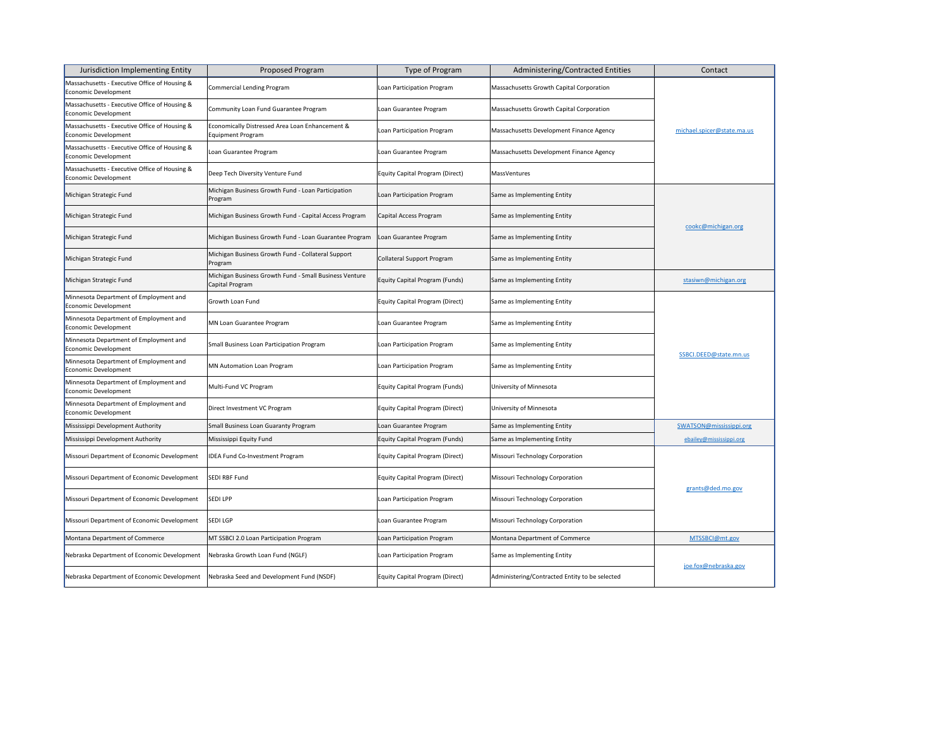| Jurisdiction Implementing Entity                                      | <b>Proposed Program</b>                                                     | Type of Program                        | <b>Administering/Contracted Entities</b>       | Contact                    |
|-----------------------------------------------------------------------|-----------------------------------------------------------------------------|----------------------------------------|------------------------------------------------|----------------------------|
| Massachusetts - Executive Office of Housing &<br>Economic Development | <b>Commercial Lending Program</b>                                           | Loan Participation Program             | Massachusetts Growth Capital Corporation       | michael.spicer@state.ma.us |
| Massachusetts - Executive Office of Housing &<br>Economic Development | Community Loan Fund Guarantee Program                                       | Loan Guarantee Program                 | Massachusetts Growth Capital Corporation       |                            |
| Massachusetts - Executive Office of Housing &<br>Economic Development | Economically Distressed Area Loan Enhancement &<br><b>Equipment Program</b> | Loan Participation Program             | Massachusetts Development Finance Agency       |                            |
| Massachusetts - Executive Office of Housing &<br>Economic Development | Loan Guarantee Program                                                      | Loan Guarantee Program                 | Massachusetts Development Finance Agency       |                            |
| Massachusetts - Executive Office of Housing &<br>Economic Development | Deep Tech Diversity Venture Fund                                            | Equity Capital Program (Direct)        | <b>MassVentures</b>                            |                            |
| Michigan Strategic Fund                                               | Michigan Business Growth Fund - Loan Participation<br>Program               | Loan Participation Program             | Same as Implementing Entity                    |                            |
| Michigan Strategic Fund                                               | Michigan Business Growth Fund - Capital Access Program                      | Capital Access Program                 | Same as Implementing Entity                    | cookc@michigan.org         |
| Michigan Strategic Fund                                               | Michigan Business Growth Fund - Loan Guarantee Program                      | Loan Guarantee Program                 | Same as Implementing Entity                    |                            |
| Michigan Strategic Fund                                               | Michigan Business Growth Fund - Collateral Support<br>Program               | Collateral Support Program             | Same as Implementing Entity                    |                            |
| Michigan Strategic Fund                                               | Michigan Business Growth Fund - Small Business Venture<br>Capital Program   | Equity Capital Program (Funds)         | Same as Implementing Entity                    | stasiwn@michigan.org       |
| Minnesota Department of Employment and<br>Economic Development        | <b>Growth Loan Fund</b>                                                     | Equity Capital Program (Direct)        | Same as Implementing Entity                    | SSBCI.DEED@state.mn.us     |
| Minnesota Department of Employment and<br>Economic Development        | MN Loan Guarantee Program                                                   | Loan Guarantee Program                 | Same as Implementing Entity                    |                            |
| Minnesota Department of Employment and<br>Economic Development        | Small Business Loan Participation Program                                   | Loan Participation Program             | Same as Implementing Entity                    |                            |
| Minnesota Department of Employment and<br>Economic Development        | MN Automation Loan Program                                                  | Loan Participation Program             | Same as Implementing Entity                    |                            |
| Minnesota Department of Employment and<br>Economic Development        | Multi-Fund VC Program                                                       | <b>Equity Capital Program (Funds)</b>  | University of Minnesota                        |                            |
| Minnesota Department of Employment and<br>Economic Development        | Direct Investment VC Program                                                | <b>Equity Capital Program (Direct)</b> | University of Minnesota                        |                            |
| Mississippi Development Authority                                     | Small Business Loan Guaranty Program                                        | Loan Guarantee Program                 | Same as Implementing Entity                    | SWATSON@mississippi.org    |
| Mississippi Development Authority                                     | Mississippi Equity Fund                                                     | Equity Capital Program (Funds)         | Same as Implementing Entity                    | ebailey@mississippi.org    |
| Missouri Department of Economic Development                           | DEA Fund Co-Investment Program                                              | Equity Capital Program (Direct)        | Missouri Technology Corporation                | grants@ded.mo.gov          |
| Missouri Department of Economic Development                           | SEDI RBF Fund                                                               | <b>Equity Capital Program (Direct)</b> | Missouri Technology Corporation                |                            |
| Missouri Department of Economic Development                           | <b>SEDILPP</b>                                                              | Loan Participation Program             | Missouri Technology Corporation                |                            |
| Missouri Department of Economic Development                           | <b>SEDI LGP</b>                                                             | Loan Guarantee Program                 | Missouri Technology Corporation                |                            |
| Montana Department of Commerce                                        | MT SSBCI 2.0 Loan Participation Program                                     | Loan Participation Program             | Montana Department of Commerce                 | MTSSBCI@mt.gov             |
| Nebraska Department of Economic Development                           | Nebraska Growth Loan Fund (NGLF)                                            | Loan Participation Program             | Same as Implementing Entity                    |                            |
| Nebraska Department of Economic Development                           | Nebraska Seed and Development Fund (NSDF)                                   | Equity Capital Program (Direct)        | Administering/Contracted Entity to be selected | joe.fox@nebraska.gov       |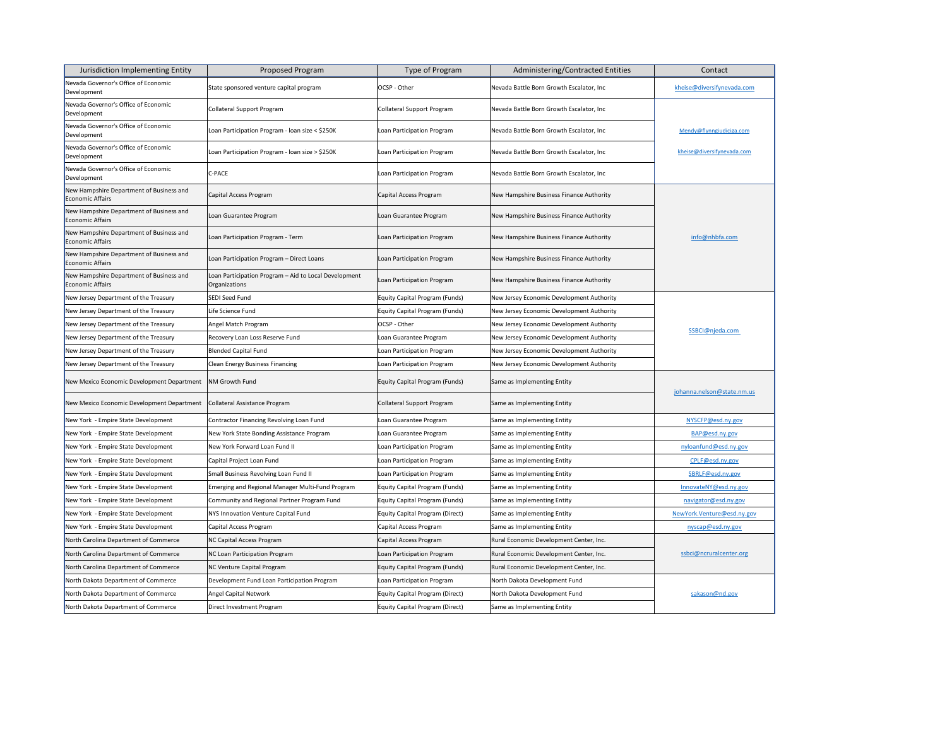| Jurisdiction Implementing Entity                                    | Proposed Program                                                       | Type of Program                        | <b>Administering/Contracted Entities</b>  | Contact                    |
|---------------------------------------------------------------------|------------------------------------------------------------------------|----------------------------------------|-------------------------------------------|----------------------------|
| Nevada Governor's Office of Economic<br>Development                 | State sponsored venture capital program                                | OCSP - Other                           | Nevada Battle Born Growth Escalator, Inc  | kheise@diversifynevada.com |
| Nevada Governor's Office of Economic<br>Development                 | <b>Collateral Support Program</b>                                      | <b>Collateral Support Program</b>      | Nevada Battle Born Growth Escalator, Inc  |                            |
| Nevada Governor's Office of Economic<br>Development                 | Loan Participation Program - Ioan size < \$250K                        | Loan Participation Program             | Nevada Battle Born Growth Escalator, Inc  | Mendy@flynngiudiciga.com   |
| Nevada Governor's Office of Economic<br>Development                 | Loan Participation Program - Ioan size > \$250K                        | Loan Participation Program             | Nevada Battle Born Growth Escalator, Inc  | kheise@diversifynevada.com |
| Nevada Governor's Office of Economic<br>Development                 | C-PACE                                                                 | Loan Participation Program             | Nevada Battle Born Growth Escalator, Inc  |                            |
| New Hampshire Department of Business and<br>Economic Affairs        | Capital Access Program                                                 | Capital Access Program                 | New Hampshire Business Finance Authority  |                            |
| New Hampshire Department of Business and<br>Economic Affairs        | Loan Guarantee Program                                                 | Loan Guarantee Program                 | New Hampshire Business Finance Authority  |                            |
| New Hampshire Department of Business and<br><b>Economic Affairs</b> | Loan Participation Program - Term                                      | Loan Participation Program             | New Hampshire Business Finance Authority  | info@nhbfa.com             |
| New Hampshire Department of Business and<br>Economic Affairs        | Loan Participation Program - Direct Loans                              | Loan Participation Program             | New Hampshire Business Finance Authority  |                            |
| New Hampshire Department of Business and<br><b>Economic Affairs</b> | Loan Participation Program - Aid to Local Development<br>Organizations | Loan Participation Program             | New Hampshire Business Finance Authority  |                            |
| New Jersey Department of the Treasury                               | SEDI Seed Fund                                                         | <b>Equity Capital Program (Funds)</b>  | New Jersey Economic Development Authority |                            |
| New Jersey Department of the Treasury                               | Life Science Fund                                                      | <b>Equity Capital Program (Funds)</b>  | New Jersey Economic Development Authority |                            |
| New Jersey Department of the Treasury                               | Angel Match Program                                                    | OCSP - Other                           | New Jersey Economic Development Authority | SSBCI@njeda.com            |
| New Jersey Department of the Treasury                               | Recovery Loan Loss Reserve Fund                                        | Loan Guarantee Program                 | New Jersey Economic Development Authority |                            |
| New Jersey Department of the Treasury                               | <b>Blended Capital Fund</b>                                            | Loan Participation Program             | New Jersey Economic Development Authority |                            |
| New Jersey Department of the Treasury                               | <b>Clean Energy Business Financing</b>                                 | Loan Participation Program             | New Jersey Economic Development Authority |                            |
| New Mexico Economic Development Department                          | <b>NM Growth Fund</b>                                                  | <b>Equity Capital Program (Funds)</b>  | Same as Implementing Entity               | johanna.nelson@state.nm.us |
| New Mexico Economic Development Department                          | Collateral Assistance Program                                          | Collateral Support Program             | Same as Implementing Entity               |                            |
| New York - Empire State Development                                 | <b>Contractor Financing Revolving Loan Fund</b>                        | Loan Guarantee Program                 | Same as Implementing Entity               | NYSCFP@esd.ny.gov          |
| New York - Empire State Development                                 | New York State Bonding Assistance Program                              | Loan Guarantee Program                 | Same as Implementing Entity               | BAP@esd.ny.gov             |
| New York - Empire State Development                                 | New York Forward Loan Fund II                                          | Loan Participation Program             | Same as Implementing Entity               | nyloanfund@esd.ny.gov      |
| New York - Empire State Development                                 | Capital Project Loan Fund                                              | Loan Participation Program             | Same as Implementing Entity               | CPLF@esd.ny.gov            |
| New York - Empire State Development                                 | Small Business Revolving Loan Fund II                                  | Loan Participation Program             | Same as Implementing Entity               | SBRLF@esd.ny.gov           |
| New York - Empire State Development                                 | Emerging and Regional Manager Multi-Fund Program                       | <b>Equity Capital Program (Funds)</b>  | Same as Implementing Entity               | InnovateNY@esd.ny.gov      |
| New York - Empire State Development                                 | Community and Regional Partner Program Fund                            | <b>Equity Capital Program (Funds)</b>  | Same as Implementing Entity               | navigator@esd.ny.gov       |
| New York - Empire State Development                                 | NYS Innovation Venture Capital Fund                                    | <b>Equity Capital Program (Direct)</b> | Same as Implementing Entity               | NewYork.Venture@esd.ny.gov |
| New York - Empire State Development                                 | Capital Access Program                                                 | Capital Access Program                 | Same as Implementing Entity               | nyscap@esd.ny.gov          |
| North Carolina Department of Commerce                               | NC Capital Access Program                                              | Capital Access Program                 | Rural Economic Development Center, Inc.   | ssbci@ncruralcenter.org    |
| North Carolina Department of Commerce                               | NC Loan Participation Program                                          | Loan Participation Program             | Rural Economic Development Center, Inc.   |                            |
| North Carolina Department of Commerce                               | NC Venture Capital Program                                             | <b>Equity Capital Program (Funds)</b>  | Rural Economic Development Center, Inc.   |                            |
| North Dakota Department of Commerce                                 | Development Fund Loan Participation Program                            | Loan Participation Program             | North Dakota Development Fund             |                            |
| North Dakota Department of Commerce                                 | <b>Angel Capital Network</b>                                           | Equity Capital Program (Direct)        | North Dakota Development Fund             | sakason@nd.gov             |
| North Dakota Department of Commerce                                 | Direct Investment Program                                              | Equity Capital Program (Direct)        | Same as Implementing Entity               |                            |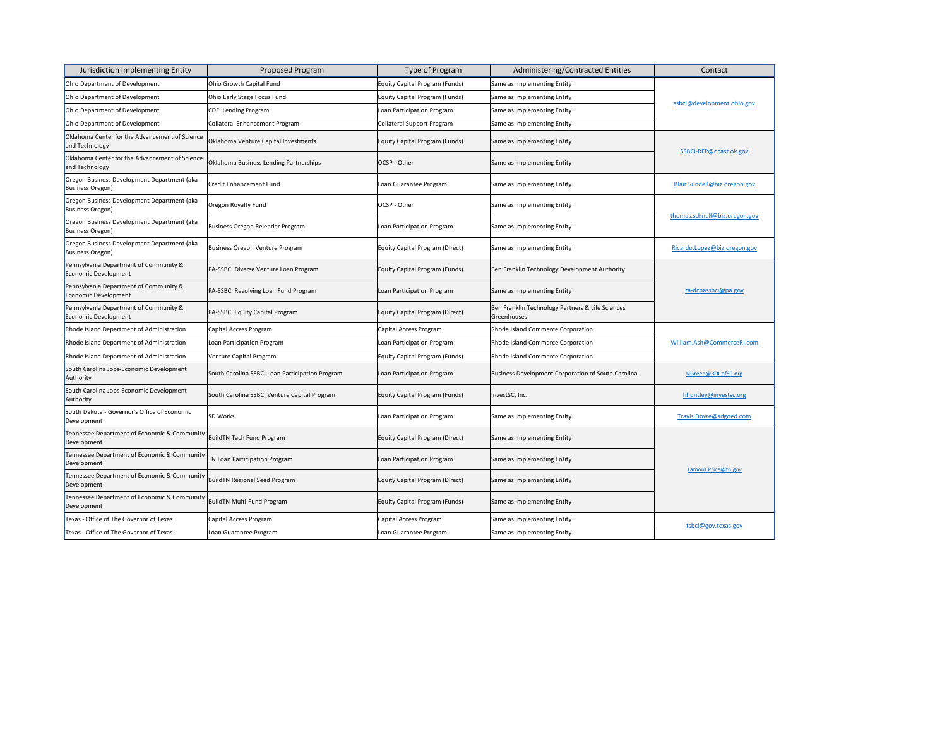| Jurisdiction Implementing Entity                                       | <b>Proposed Program</b>                         | Type of Program                        | <b>Administering/Contracted Entities</b>                        | Contact                       |
|------------------------------------------------------------------------|-------------------------------------------------|----------------------------------------|-----------------------------------------------------------------|-------------------------------|
| Ohio Department of Development                                         | Ohio Growth Capital Fund                        | <b>Equity Capital Program (Funds)</b>  | Same as Implementing Entity                                     | ssbci@development.ohio.gov    |
| Ohio Department of Development                                         | Ohio Early Stage Focus Fund                     | <b>Equity Capital Program (Funds)</b>  | Same as Implementing Entity                                     |                               |
| Ohio Department of Development                                         | <b>CDFI Lending Program</b>                     | Loan Participation Program             | Same as Implementing Entity                                     |                               |
| Ohio Department of Development                                         | <b>Collateral Enhancement Program</b>           | <b>Collateral Support Program</b>      | Same as Implementing Entity                                     |                               |
| Oklahoma Center for the Advancement of Science<br>and Technology       | Oklahoma Venture Capital Investments            | Equity Capital Program (Funds)         | Same as Implementing Entity                                     |                               |
| Oklahoma Center for the Advancement of Science<br>and Technology       | Oklahoma Business Lending Partnerships          | <b>OCSP</b> - Other                    | Same as Implementing Entity                                     | SSBCI-RFP@ocast.ok.gov        |
| Oregon Business Development Department (aka<br><b>Business Oregon)</b> | Credit Enhancement Fund                         | Loan Guarantee Program                 | Same as Implementing Entity                                     | Blair.Sundell@biz.oregon.gov  |
| Oregon Business Development Department (aka<br>Business Oregon)        | Oregon Royalty Fund                             | OCSP - Other                           | Same as Implementing Entity                                     | thomas.schnell@biz.oregon.gov |
| Oregon Business Development Department (aka<br><b>Business Oregon)</b> | Business Oregon Relender Program                | Loan Participation Program             | Same as Implementing Entity                                     |                               |
| Oregon Business Development Department (aka<br><b>Business Oregon)</b> | <b>Business Oregon Venture Program</b>          | <b>Equity Capital Program (Direct)</b> | Same as Implementing Entity                                     | Ricardo.Lopez@biz.oregon.gov  |
| Pennsylvania Department of Community &<br>Economic Development         | PA-SSBCI Diverse Venture Loan Program           | <b>Equity Capital Program (Funds)</b>  | Ben Franklin Technology Development Authority                   |                               |
| Pennsylvania Department of Community &<br>Economic Development         | PA-SSBCI Revolving Loan Fund Program            | Loan Participation Program             | Same as Implementing Entity                                     | ra-dcpassbci@pa.gov           |
| Pennsylvania Department of Community &<br>Economic Development         | PA-SSBCI Equity Capital Program                 | Equity Capital Program (Direct)        | Ben Franklin Technology Partners & Life Sciences<br>Greenhouses |                               |
| Rhode Island Department of Administration                              | Capital Access Program                          | Capital Access Program                 | Rhode Island Commerce Corporation                               | William.Ash@CommerceRI.com    |
| Rhode Island Department of Administration                              | Loan Participation Program                      | Loan Participation Program             | Rhode Island Commerce Corporation                               |                               |
| Rhode Island Department of Administration                              | Venture Capital Program                         | Equity Capital Program (Funds)         | Rhode Island Commerce Corporation                               |                               |
| South Carolina Jobs-Economic Development<br>Authority                  | South Carolina SSBCI Loan Participation Program | Loan Participation Program             | Business Development Corporation of South Carolina              | NGreen@BDCofSC.org            |
| South Carolina Jobs-Economic Development<br>Authority                  | South Carolina SSBCI Venture Capital Program    | Equity Capital Program (Funds)         | InvestSC, Inc.                                                  | hhuntley@investsc.org         |
| South Dakota - Governor's Office of Economic<br>Development            | <b>SD Works</b>                                 | Loan Participation Program             | Same as Implementing Entity                                     | Travis.Dovre@sdgoed.com       |
| Tennessee Department of Economic & Community<br>Development            | <b>BuildTN Tech Fund Program</b>                | Equity Capital Program (Direct)        | Same as Implementing Entity                                     | Lamont.Price@tn.gov           |
| Tennessee Department of Economic & Community<br>Development            | TN Loan Participation Program                   | Loan Participation Program             | Same as Implementing Entity                                     |                               |
| Tennessee Department of Economic & Community<br>Development            | <b>BuildTN Regional Seed Program</b>            | Equity Capital Program (Direct)        | Same as Implementing Entity                                     |                               |
| Tennessee Department of Economic & Community<br>Development            | <b>BuildTN Multi-Fund Program</b>               | Equity Capital Program (Funds)         | Same as Implementing Entity                                     |                               |
| Texas - Office of The Governor of Texas                                | Capital Access Program                          | Capital Access Program                 | Same as Implementing Entity                                     |                               |
| Texas - Office of The Governor of Texas                                | Loan Guarantee Program                          | Loan Guarantee Program                 | Same as Implementing Entity                                     | tsbci@gov.texas.gov           |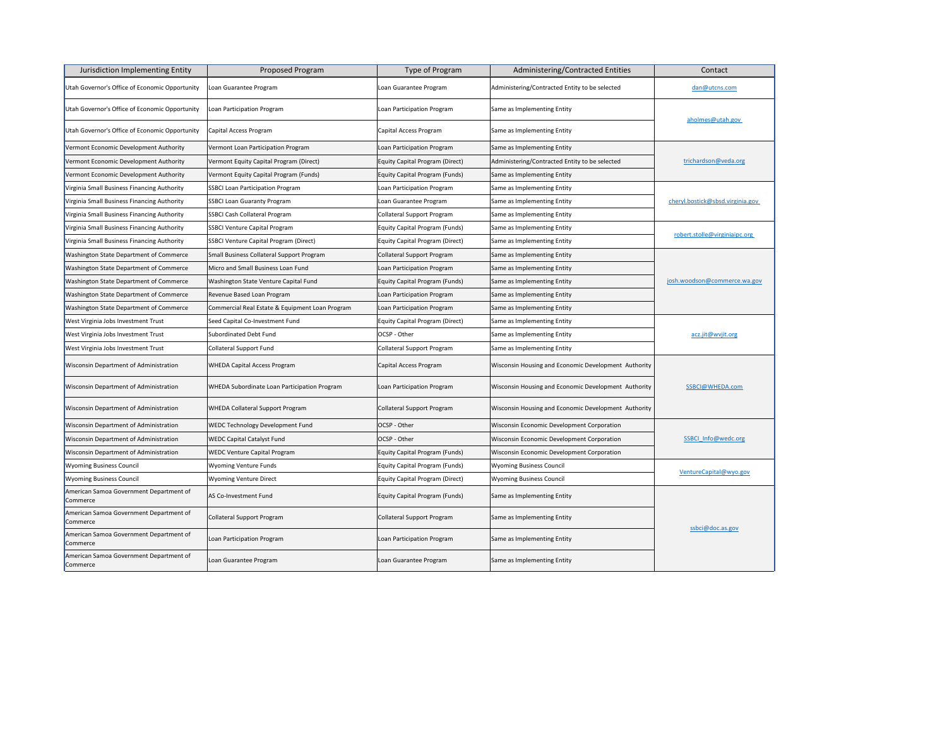| Jurisdiction Implementing Entity                    | <b>Proposed Program</b>                         | Type of Program                       | <b>Administering/Contracted Entities</b>             | Contact                          |
|-----------------------------------------------------|-------------------------------------------------|---------------------------------------|------------------------------------------------------|----------------------------------|
| Utah Governor's Office of Economic Opportunity      | Loan Guarantee Program                          | Loan Guarantee Program                | Administering/Contracted Entity to be selected       | dan@utcns.com                    |
| Utah Governor's Office of Economic Opportunity      | Loan Participation Program                      | Loan Participation Program            | Same as Implementing Entity                          | aholmes@utah.gov                 |
| Utah Governor's Office of Economic Opportunity      | Capital Access Program                          | Capital Access Program                | Same as Implementing Entity                          |                                  |
| Vermont Economic Development Authority              | Vermont Loan Participation Program              | Loan Participation Program            | Same as Implementing Entity                          |                                  |
| Vermont Economic Development Authority              | Vermont Equity Capital Program (Direct)         | Equity Capital Program (Direct)       | Administering/Contracted Entity to be selected       | trichardson@veda.org             |
| Vermont Economic Development Authority              | Vermont Equity Capital Program (Funds)          | Equity Capital Program (Funds)        | Same as Implementing Entity                          |                                  |
| Virginia Small Business Financing Authority         | <b>SSBCI Loan Participation Program</b>         | Loan Participation Program            | Same as Implementing Entity                          |                                  |
| Virginia Small Business Financing Authority         | <b>SSBCI Loan Guaranty Program</b>              | Loan Guarantee Program                | Same as Implementing Entity                          | cheryl.bostick@sbsd.virginia.gov |
| Virginia Small Business Financing Authority         | <b>SSBCI Cash Collateral Program</b>            | Collateral Support Program            | Same as Implementing Entity                          |                                  |
| Virginia Small Business Financing Authority         | <b>SSBCI Venture Capital Program</b>            | Equity Capital Program (Funds)        | Same as Implementing Entity                          |                                  |
| Virginia Small Business Financing Authority         | <b>SSBCI Venture Capital Program (Direct)</b>   | Equity Capital Program (Direct)       | Same as Implementing Entity                          | robert.stolle@virginiaipc.org    |
| <b>Washington State Department of Commerce</b>      | Small Business Collateral Support Program       | Collateral Support Program            | Same as Implementing Entity                          |                                  |
| <b>Washington State Department of Commerce</b>      | Micro and Small Business Loan Fund              | Loan Participation Program            | Same as Implementing Entity                          |                                  |
| <b>Washington State Department of Commerce</b>      | Washington State Venture Capital Fund           | Equity Capital Program (Funds)        | Same as Implementing Entity                          | josh.woodson@commerce.wa.gov     |
| <b>Washington State Department of Commerce</b>      | Revenue Based Loan Program                      | Loan Participation Program            | Same as Implementing Entity                          |                                  |
| <b>Washington State Department of Commerce</b>      | Commercial Real Estate & Equipment Loan Program | Loan Participation Program            | Same as Implementing Entity                          |                                  |
| <b>West Virginia Jobs Investment Trust</b>          | Seed Capital Co-Investment Fund                 | Equity Capital Program (Direct)       | Same as Implementing Entity                          |                                  |
| <b>West Virginia Jobs Investment Trust</b>          | <b>Subordinated Debt Fund</b>                   | <b>OCSP</b> - Other                   | Same as Implementing Entity                          | acz.jit@wvjit.org                |
| West Virginia Jobs Investment Trust                 | <b>Collateral Support Fund</b>                  | Collateral Support Program            | Same as Implementing Entity                          |                                  |
| <b>Wisconsin Department of Administration</b>       | <b>WHEDA Capital Access Program</b>             | Capital Access Program                | Wisconsin Housing and Economic Development Authority |                                  |
| <b>Wisconsin Department of Administration</b>       | WHEDA Subordinate Loan Participation Program    | Loan Participation Program            | Wisconsin Housing and Economic Development Authority | SSBCI@WHEDA.com                  |
| <b>Wisconsin Department of Administration</b>       | <b>WHEDA Collateral Support Program</b>         | Collateral Support Program            | Wisconsin Housing and Economic Development Authority |                                  |
| <b>Wisconsin Department of Administration</b>       | WEDC Technology Development Fund                | <b>OCSP</b> - Other                   | Wisconsin Economic Development Corporation           |                                  |
| <b>Wisconsin Department of Administration</b>       | <b>WEDC Capital Catalyst Fund</b>               | <b>OCSP</b> - Other                   | Wisconsin Economic Development Corporation           | SSBCI Info@wedc.org              |
| <b>Wisconsin Department of Administration</b>       | <b>WEDC Venture Capital Program</b>             | Equity Capital Program (Funds)        | Wisconsin Economic Development Corporation           |                                  |
| <b>Wyoming Business Council</b>                     | <b>Wyoming Venture Funds</b>                    | <b>Equity Capital Program (Funds)</b> | <b>Wyoming Business Council</b>                      | VentureCapital@wyo.gov           |
| <b>Wyoming Business Council</b>                     | <b>Wyoming Venture Direct</b>                   | Equity Capital Program (Direct)       | <b>Wyoming Business Council</b>                      |                                  |
| American Samoa Government Department of<br>Commerce | AS Co-Investment Fund                           | Equity Capital Program (Funds)        | Same as Implementing Entity                          |                                  |
| American Samoa Government Department of<br>Commerce | <b>Collateral Support Program</b>               | Collateral Support Program            | Same as Implementing Entity                          | ssbci@doc.as.gov                 |
| American Samoa Government Department of<br>Commerce | Loan Participation Program                      | Loan Participation Program            | Same as Implementing Entity                          |                                  |
| American Samoa Government Department of<br>Commerce | Loan Guarantee Program                          | Loan Guarantee Program                | Same as Implementing Entity                          |                                  |